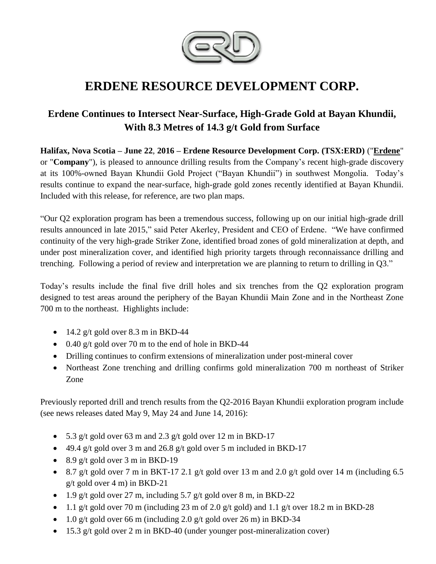

### **ERDENE RESOURCE DEVELOPMENT CORP.**

### **Erdene Continues to Intersect Near-Surface, High-Grade Gold at Bayan Khundii, With 8.3 Metres of 14.3 g/t Gold from Surface**

**Halifax, Nova Scotia – June 22**, **2016 – Erdene Resource Development Corp. (TSX:ERD)** ("**[Erdene](http://www.erdene.com/)**" or "**Company**"), is pleased to announce drilling results from the Company's recent high-grade discovery at its 100%-owned Bayan Khundii Gold Project ("Bayan Khundii") in southwest Mongolia. Today's results continue to expand the near-surface, high-grade gold zones recently identified at Bayan Khundii. Included with this release, for reference, are two plan maps.

"Our Q2 exploration program has been a tremendous success, following up on our initial high-grade drill results announced in late 2015," said Peter Akerley, President and CEO of Erdene. "We have confirmed continuity of the very high-grade Striker Zone, identified broad zones of gold mineralization at depth, and under post mineralization cover, and identified high priority targets through reconnaissance drilling and trenching. Following a period of review and interpretation we are planning to return to drilling in Q3."

Today's results include the final five drill holes and six trenches from the Q2 exploration program designed to test areas around the periphery of the Bayan Khundii Main Zone and in the Northeast Zone 700 m to the northeast. Highlights include:

- $\bullet$  14.2 g/t gold over 8.3 m in BKD-44
- $\bullet$  0.40 g/t gold over 70 m to the end of hole in BKD-44
- Drilling continues to confirm extensions of mineralization under post-mineral cover
- Northeast Zone trenching and drilling confirms gold mineralization 700 m northeast of Striker Zone

Previously reported drill and trench results from the Q2-2016 Bayan Khundii exploration program include (see news releases dated May 9, May 24 and June 14, 2016):

- $\bullet$  5.3 g/t gold over 63 m and 2.3 g/t gold over 12 m in BKD-17
- $\bullet$  49.4 g/t gold over 3 m and 26.8 g/t gold over 5 m included in BKD-17
- $\bullet$  8.9 g/t gold over 3 m in BKD-19
- $\bullet$  8.7 g/t gold over 7 m in BKT-17 2.1 g/t gold over 13 m and 2.0 g/t gold over 14 m (including 6.5) g/t gold over 4 m) in BKD-21
- $\bullet$  1.9 g/t gold over 27 m, including 5.7 g/t gold over 8 m, in BKD-22
- 1.1 g/t gold over 70 m (including 23 m of 2.0 g/t gold) and 1.1 g/t over 18.2 m in BKD-28
- $\bullet$  1.0 g/t gold over 66 m (including 2.0 g/t gold over 26 m) in BKD-34
- 15.3 g/t gold over 2 m in BKD-40 (under younger post-mineralization cover)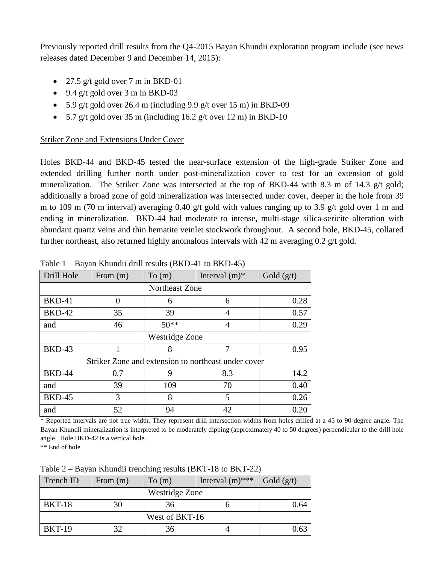Previously reported drill results from the Q4-2015 Bayan Khundii exploration program include (see news releases dated December 9 and December 14, 2015):

- $\bullet$  27.5 g/t gold over 7 m in BKD-01
- $\bullet$  9.4 g/t gold over 3 m in BKD-03
- $\bullet$  5.9 g/t gold over 26.4 m (including 9.9 g/t over 15 m) in BKD-09
- $\bullet$  5.7 g/t gold over 35 m (including 16.2 g/t over 12 m) in BKD-10

#### Striker Zone and Extensions Under Cover

Holes BKD-44 and BKD-45 tested the near-surface extension of the high-grade Striker Zone and extended drilling further north under post-mineralization cover to test for an extension of gold mineralization. The Striker Zone was intersected at the top of BKD-44 with 8.3 m of 14.3 g/t gold; additionally a broad zone of gold mineralization was intersected under cover, deeper in the hole from 39 m to 109 m (70 m interval) averaging 0.40 g/t gold with values ranging up to 3.9 g/t gold over 1 m and ending in mineralization. BKD-44 had moderate to intense, multi-stage silica-sericite alteration with abundant quartz veins and thin hematite veinlet stockwork throughout. A second hole, BKD-45, collared further northeast, also returned highly anomalous intervals with 42 m averaging 0.2 g/t gold.

| Drill Hole                                          | From $(m)$ | To(m)  | Interval $(m)^*$ | Gold $(g/t)$ |  |  |  |
|-----------------------------------------------------|------------|--------|------------------|--------------|--|--|--|
| Northeast Zone                                      |            |        |                  |              |  |  |  |
| <b>BKD-41</b>                                       | 0          | 6      | 6                | 0.28         |  |  |  |
| <b>BKD-42</b>                                       | 35         | 39     | 4                | 0.57         |  |  |  |
| and                                                 | 46         | $50**$ | 4                | 0.29         |  |  |  |
| Westridge Zone                                      |            |        |                  |              |  |  |  |
| <b>BKD-43</b>                                       |            | 8      | 7                | 0.95         |  |  |  |
| Striker Zone and extension to northeast under cover |            |        |                  |              |  |  |  |
| <b>BKD-44</b>                                       | 0.7        | 9      | 8.3              | 14.2         |  |  |  |
| and                                                 | 39         | 109    | 70               | 0.40         |  |  |  |
| <b>BKD-45</b>                                       | 3          | 8      | 5                | 0.26         |  |  |  |
| and                                                 | 52         | 94     | 42               | 0.20         |  |  |  |

Table 1 – Bayan Khundii drill results (BKD-41 to BKD-45)

\* Reported intervals are not true width. They represent drill intersection widths from holes drilled at a 45 to 90 degree angle. The Bayan Khundii mineralization is interpreted to be moderately dipping (approximately 40 to 50 degrees) perpendicular to the drill hole angle. Hole BKD-42 is a vertical hole.

\*\* End of hole

Table 2 – Bayan Khundii trenching results (BKT-18 to BKT-22)

| Trench ID             | From $(m)$ | To (m) | Interval $(m)$ *** | Gold $(g/t)$ |  |  |  |
|-----------------------|------------|--------|--------------------|--------------|--|--|--|
| <b>Westridge Zone</b> |            |        |                    |              |  |  |  |
| <b>BKT-18</b>         |            | 36     |                    |              |  |  |  |
| West of BKT-16        |            |        |                    |              |  |  |  |
| <b>BKT-19</b>         |            | 36     |                    |              |  |  |  |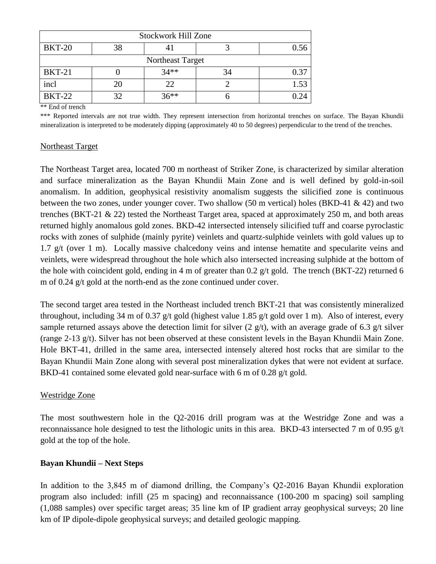| <b>Stockwork Hill Zone</b> |    |        |    |      |  |  |  |
|----------------------------|----|--------|----|------|--|--|--|
| <b>BKT-20</b>              | 38 |        |    |      |  |  |  |
| Northeast Target           |    |        |    |      |  |  |  |
| <b>BKT-21</b>              |    | $34**$ | 34 | 0.37 |  |  |  |
| incl                       | 20 | 22     |    |      |  |  |  |
| <b>BKT-22</b>              |    | $36**$ |    |      |  |  |  |

\*\* End of trench

\*\*\* Reported intervals are not true width. They represent intersection from horizontal trenches on surface. The Bayan Khundii mineralization is interpreted to be moderately dipping (approximately 40 to 50 degrees) perpendicular to the trend of the trenches.

#### Northeast Target

The Northeast Target area, located 700 m northeast of Striker Zone, is characterized by similar alteration and surface mineralization as the Bayan Khundii Main Zone and is well defined by gold-in-soil anomalism. In addition, geophysical resistivity anomalism suggests the silicified zone is continuous between the two zones, under younger cover. Two shallow (50 m vertical) holes (BKD-41 & 42) and two trenches (BKT-21  $\&$  22) tested the Northeast Target area, spaced at approximately 250 m, and both areas returned highly anomalous gold zones. BKD-42 intersected intensely silicified tuff and coarse pyroclastic rocks with zones of sulphide (mainly pyrite) veinlets and quartz-sulphide veinlets with gold values up to 1.7 g/t (over 1 m). Locally massive chalcedony veins and intense hematite and specularite veins and veinlets, were widespread throughout the hole which also intersected increasing sulphide at the bottom of the hole with coincident gold, ending in 4 m of greater than 0.2 g/t gold. The trench (BKT-22) returned 6 m of 0.24 g/t gold at the north-end as the zone continued under cover.

The second target area tested in the Northeast included trench BKT-21 that was consistently mineralized throughout, including 34 m of 0.37 g/t gold (highest value 1.85 g/t gold over 1 m). Also of interest, every sample returned assays above the detection limit for silver  $(2 \text{ g/t})$ , with an average grade of 6.3 g/t silver (range 2-13 g/t). Silver has not been observed at these consistent levels in the Bayan Khundii Main Zone. Hole BKT-41, drilled in the same area, intersected intensely altered host rocks that are similar to the Bayan Khundii Main Zone along with several post mineralization dykes that were not evident at surface. BKD-41 contained some elevated gold near-surface with 6 m of 0.28 g/t gold.

#### Westridge Zone

The most southwestern hole in the Q2-2016 drill program was at the Westridge Zone and was a reconnaissance hole designed to test the lithologic units in this area. BKD-43 intersected 7 m of 0.95 g/t gold at the top of the hole.

#### **Bayan Khundii – Next Steps**

In addition to the 3,845 m of diamond drilling, the Company's Q2-2016 Bayan Khundii exploration program also included: infill (25 m spacing) and reconnaissance (100-200 m spacing) soil sampling (1,088 samples) over specific target areas; 35 line km of IP gradient array geophysical surveys; 20 line km of IP dipole-dipole geophysical surveys; and detailed geologic mapping.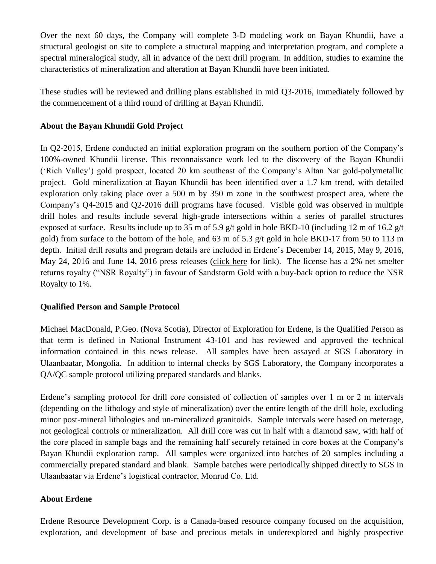Over the next 60 days, the Company will complete 3-D modeling work on Bayan Khundii, have a structural geologist on site to complete a structural mapping and interpretation program, and complete a spectral mineralogical study, all in advance of the next drill program. In addition, studies to examine the characteristics of mineralization and alteration at Bayan Khundii have been initiated.

These studies will be reviewed and drilling plans established in mid Q3-2016, immediately followed by the commencement of a third round of drilling at Bayan Khundii.

#### **About the Bayan Khundii Gold Project**

In Q2-2015, Erdene conducted an initial exploration program on the southern portion of the Company's 100%-owned Khundii license. This reconnaissance work led to the discovery of the Bayan Khundii ('Rich Valley') gold prospect, located 20 km southeast of the Company's Altan Nar gold-polymetallic project. Gold mineralization at Bayan Khundii has been identified over a 1.7 km trend, with detailed exploration only taking place over a 500 m by 350 m zone in the southwest prospect area, where the Company's Q4-2015 and Q2-2016 drill programs have focused. Visible gold was observed in multiple drill holes and results include several high-grade intersections within a series of parallel structures exposed at surface. Results include up to 35 m of 5.9 g/t gold in hole BKD-10 (including 12 m of 16.2 g/t gold) from surface to the bottom of the hole, and 63 m of 5.3 g/t gold in hole BKD-17 from 50 to 113 m depth. Initial drill results and program details are included in Erdene's December 14, 2015, May 9, 2016, May 24, 2016 and June 14, 2016 press releases [\(click here](http://www.erdene.com/news_releases16/News_Releases16.php) for link). The license has a 2% net smelter returns royalty ("NSR Royalty") in favour of Sandstorm Gold with a buy-back option to reduce the NSR Royalty to 1%.

#### **Qualified Person and Sample Protocol**

Michael MacDonald, P.Geo. (Nova Scotia), Director of Exploration for Erdene, is the Qualified Person as that term is defined in National Instrument 43-101 and has reviewed and approved the technical information contained in this news release. All samples have been assayed at SGS Laboratory in Ulaanbaatar, Mongolia. In addition to internal checks by SGS Laboratory, the Company incorporates a QA/QC sample protocol utilizing prepared standards and blanks.

Erdene's sampling protocol for drill core consisted of collection of samples over 1 m or 2 m intervals (depending on the lithology and style of mineralization) over the entire length of the drill hole, excluding minor post-mineral lithologies and un-mineralized granitoids. Sample intervals were based on meterage, not geological controls or mineralization. All drill core was cut in half with a diamond saw, with half of the core placed in sample bags and the remaining half securely retained in core boxes at the Company's Bayan Khundii exploration camp. All samples were organized into batches of 20 samples including a commercially prepared standard and blank. Sample batches were periodically shipped directly to SGS in Ulaanbaatar via Erdene's logistical contractor, Monrud Co. Ltd.

#### **About Erdene**

Erdene Resource Development Corp. is a Canada-based resource company focused on the acquisition, exploration, and development of base and precious metals in underexplored and highly prospective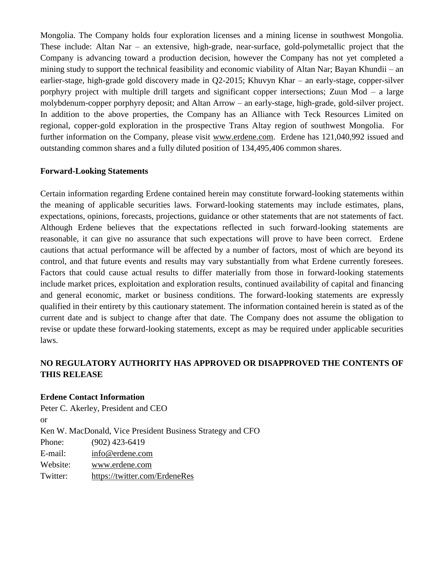Mongolia. The Company holds four exploration licenses and a mining license in southwest Mongolia. These include: Altan Nar – an extensive, high-grade, near-surface, gold-polymetallic project that the Company is advancing toward a production decision, however the Company has not yet completed a mining study to support the technical feasibility and economic viability of Altan Nar; Bayan Khundii – an earlier-stage, high-grade gold discovery made in Q2-2015; Khuvyn Khar – an early-stage, copper-silver porphyry project with multiple drill targets and significant copper intersections; Zuun Mod – a large molybdenum-copper porphyry deposit; and Altan Arrow – an early-stage, high-grade, gold-silver project. In addition to the above properties, the Company has an Alliance with Teck Resources Limited on regional, copper-gold exploration in the prospective Trans Altay region of southwest Mongolia. For further information on the Company, please visit www.erdene.com. Erdene has 121,040,992 issued and outstanding common shares and a fully diluted position of 134,495,406 common shares.

#### **Forward-Looking Statements**

Certain information regarding Erdene contained herein may constitute forward-looking statements within the meaning of applicable securities laws. Forward-looking statements may include estimates, plans, expectations, opinions, forecasts, projections, guidance or other statements that are not statements of fact. Although Erdene believes that the expectations reflected in such forward-looking statements are reasonable, it can give no assurance that such expectations will prove to have been correct. Erdene cautions that actual performance will be affected by a number of factors, most of which are beyond its control, and that future events and results may vary substantially from what Erdene currently foresees. Factors that could cause actual results to differ materially from those in forward-looking statements include market prices, exploitation and exploration results, continued availability of capital and financing and general economic, market or business conditions. The forward-looking statements are expressly qualified in their entirety by this cautionary statement. The information contained herein is stated as of the current date and is subject to change after that date. The Company does not assume the obligation to revise or update these forward-looking statements, except as may be required under applicable securities laws.

#### **NO REGULATORY AUTHORITY HAS APPROVED OR DISAPPROVED THE CONTENTS OF THIS RELEASE**

#### **Erdene Contact Information**

Peter C. Akerley, President and CEO or Ken W. MacDonald, Vice President Business Strategy and CFO Phone: (902) 423-6419 E-mail: [info@erdene.com](mailto:info@erdene.com) Website: [www.erdene.com](http://www.erdene.com/) Twitter: <https://twitter.com/ErdeneRes>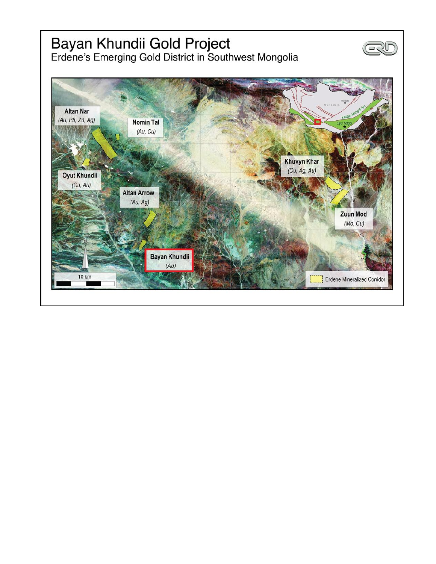## Bayan Khundii Gold Project<br>Erdene's Emerging Gold District in Southwest Mongolia



১∏